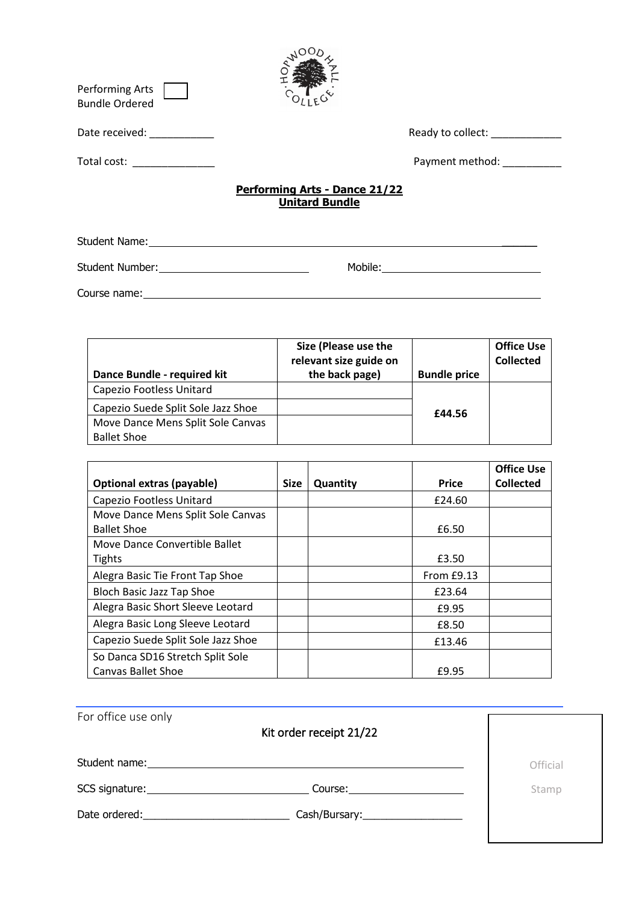| Performing Arts<br><b>Bundle Ordered</b>                                                                                                                                                                                       |                                                               |                                          |
|--------------------------------------------------------------------------------------------------------------------------------------------------------------------------------------------------------------------------------|---------------------------------------------------------------|------------------------------------------|
| Date received: National Contract of the Contract of the Contract of the Contract of the Contract of the Contract of the Contract of the Contract of the Contract of the Contract of the Contract of the Contract of the Contra |                                                               | Ready to collect: Nearly Management      |
| Total cost: ______________                                                                                                                                                                                                     |                                                               | Payment method: National Payment method: |
|                                                                                                                                                                                                                                | <b>Performing Arts - Dance 21/22</b><br><b>Unitard Bundle</b> |                                          |
|                                                                                                                                                                                                                                |                                                               |                                          |
|                                                                                                                                                                                                                                |                                                               |                                          |
| Course name:                                                                                                                                                                                                                   |                                                               |                                          |

| Dance Bundle - required kit        | Size (Please use the<br>relevant size guide on<br>the back page) | <b>Bundle price</b> | <b>Office Use</b><br><b>Collected</b> |
|------------------------------------|------------------------------------------------------------------|---------------------|---------------------------------------|
| Capezio Footless Unitard           |                                                                  |                     |                                       |
| Capezio Suede Split Sole Jazz Shoe |                                                                  | £44.56              |                                       |
| Move Dance Mens Split Sole Canvas  |                                                                  |                     |                                       |
| <b>Ballet Shoe</b>                 |                                                                  |                     |                                       |

|                                    |             |          |              | <b>Office Use</b> |
|------------------------------------|-------------|----------|--------------|-------------------|
| Optional extras (payable)          | <b>Size</b> | Quantity | <b>Price</b> | <b>Collected</b>  |
| Capezio Footless Unitard           |             |          | £24.60       |                   |
| Move Dance Mens Split Sole Canvas  |             |          |              |                   |
| <b>Ballet Shoe</b>                 |             |          | £6.50        |                   |
| Move Dance Convertible Ballet      |             |          |              |                   |
| <b>Tights</b>                      |             |          | £3.50        |                   |
| Alegra Basic Tie Front Tap Shoe    |             |          | From $E9.13$ |                   |
| Bloch Basic Jazz Tap Shoe          |             |          | £23.64       |                   |
| Alegra Basic Short Sleeve Leotard  |             |          | £9.95        |                   |
| Alegra Basic Long Sleeve Leotard   |             |          | £8.50        |                   |
| Capezio Suede Split Sole Jazz Shoe |             |          | £13.46       |                   |
| So Danca SD16 Stretch Split Sole   |             |          |              |                   |
| <b>Canvas Ballet Shoe</b>          |             |          | £9.95        |                   |

| For office use only | Kit order receipt 21/22 |          |
|---------------------|-------------------------|----------|
| Student name:       |                         | Official |
| SCS signature:      | Course:                 | Stamp    |
| Date ordered:       |                         |          |